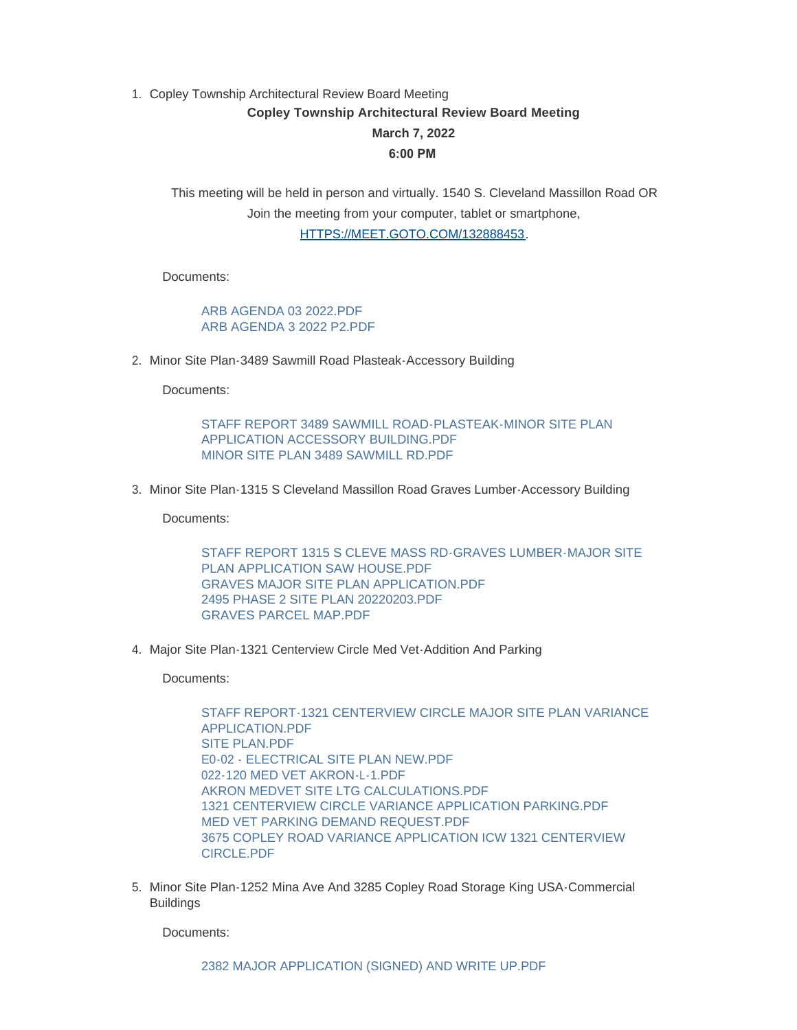## 1. Copley Township Architectural Review Board Meeting **Copley Township Architectural Review Board Meeting March 7, 2022 6:00 PM**

This meeting will be held in person and virtually. 1540 S. Cleveland Massillon Road OR [Join the meeting from your computer, tablet or sm](https://meet.goto.com/132888453?_ga=2.155018168.1468797737.1644935666-1960992959.1637327156)artphone,

HTTPS://MEET.GOTO.COM/132888453.

Documents:

[ARB AGENDA 03 2022.PDF](https://www.copley.oh.us/AgendaCenter/ViewFile/Item/700?fileID=8921) [ARB AGENDA 3 2022 P2.PDF](https://www.copley.oh.us/AgendaCenter/ViewFile/Item/700?fileID=8922)

2. Minor Site Plan-3489 Sawmill Road Plasteak-Accessory Building

Documents:

[STAFF REPORT 3489 SAWMILL ROAD-PLASTEAK-MINOR SITE PLAN](https://www.copley.oh.us/AgendaCenter/ViewFile/Item/701?fileID=8967)  APPLICATION ACCESSORY BUILDING.PDF [MINOR SITE PLAN 3489 SAWMILL RD.PDF](https://www.copley.oh.us/AgendaCenter/ViewFile/Item/701?fileID=8938)

3. Minor Site Plan-1315 S Cleveland Massillon Road Graves Lumber-Accessory Building

Documents:

[STAFF REPORT 1315 S CLEVE MASS RD-GRAVES LUMBER-MAJOR SITE](https://www.copley.oh.us/AgendaCenter/ViewFile/Item/702?fileID=8965)  PLAN APPLICATION SAW HOUSE PDF [GRAVES MAJOR SITE PLAN APPLICATION.PDF](https://www.copley.oh.us/AgendaCenter/ViewFile/Item/702?fileID=8935) [2495 PHASE 2 SITE PLAN 20220203.PDF](https://www.copley.oh.us/AgendaCenter/ViewFile/Item/702?fileID=8925) [GRAVES PARCEL MAP.PDF](https://www.copley.oh.us/AgendaCenter/ViewFile/Item/702?fileID=8936)

4. Major Site Plan-1321 Centerview Circle Med Vet-Addition And Parking

Documents:

[STAFF REPORT-1321 CENTERVIEW CIRCLE MAJOR SITE PLAN VARIANCE](https://www.copley.oh.us/AgendaCenter/ViewFile/Item/703?fileID=8984)  APPLICATION.PDF [SITE PLAN.PDF](https://www.copley.oh.us/AgendaCenter/ViewFile/Item/703?fileID=8961) [E0-02 - ELECTRICAL SITE PLAN NEW.PDF](https://www.copley.oh.us/AgendaCenter/ViewFile/Item/703?fileID=8960) [022-120 MED VET AKRON-L-1.PDF](https://www.copley.oh.us/AgendaCenter/ViewFile/Item/703?fileID=8963) AKRON MEDVET SITE LTG CALCULATIONS PDF [1321 CENTERVIEW CIRCLE VARIANCE APPLICATION PARKING.PDF](https://www.copley.oh.us/AgendaCenter/ViewFile/Item/703?fileID=8942) [MED VET PARKING DEMAND REQUEST.PDF](https://www.copley.oh.us/AgendaCenter/ViewFile/Item/703?fileID=8941) [3675 COPLEY ROAD VARIANCE APPLICATION ICW 1321 CENTERVIEW](https://www.copley.oh.us/AgendaCenter/ViewFile/Item/703?fileID=8943)  CIRCLE.PDF

5. Minor Site Plan-1252 Mina Ave And 3285 Copley Road Storage King USA-Commercial Buildings

Documents: